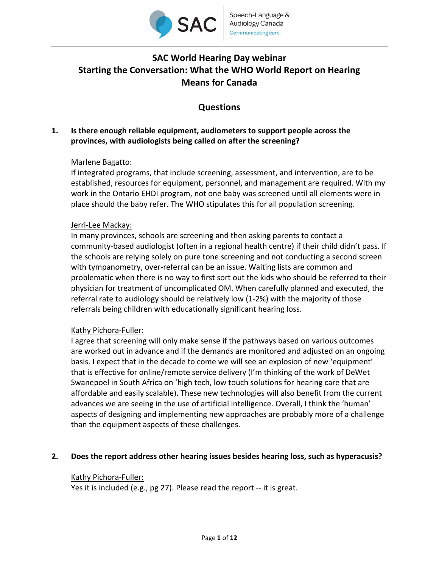

# **SAC World Hearing Day webinar Starting the Conversation: What the WHO World Report on Hearing Means for Canada**

# **Questions**

# **1. Is there enough reliable equipment, audiometers to support people across the provinces, with audiologists being called on after the screening?**

# Marlene Bagatto:

If integrated programs, that include screening, assessment, and intervention, are to be established, resources for equipment, personnel, and management are required. With my work in the Ontario EHDI program, not one baby was screened until all elements were in place should the baby refer. The WHO stipulates this for all population screening.

## Jerri‐Lee Mackay:

In many provinces, schools are screening and then asking parents to contact a community‐based audiologist (often in a regional health centre) if their child didn't pass. If the schools are relying solely on pure tone screening and not conducting a second screen with tympanometry, over-referral can be an issue. Waiting lists are common and problematic when there is no way to first sort out the kids who should be referred to their physician for treatment of uncomplicated OM. When carefully planned and executed, the referral rate to audiology should be relatively low (1‐2%) with the majority of those referrals being children with educationally significant hearing loss.

# Kathy Pichora‐Fuller:

I agree that screening will only make sense if the pathways based on various outcomes are worked out in advance and if the demands are monitored and adjusted on an ongoing basis. I expect that in the decade to come we will see an explosion of new 'equipment' that is effective for online/remote service delivery (I'm thinking of the work of DeWet Swanepoel in South Africa on 'high tech, low touch solutions for hearing care that are affordable and easily scalable). These new technologies will also benefit from the current advances we are seeing in the use of artificial intelligence. Overall, I think the 'human' aspects of designing and implementing new approaches are probably more of a challenge than the equipment aspects of these challenges.

## **2. Does the report address other hearing issues besides hearing loss, such as hyperacusis?**

## Kathy Pichora‐Fuller:

Yes it is included (e.g., pg 27). Please read the report -- it is great.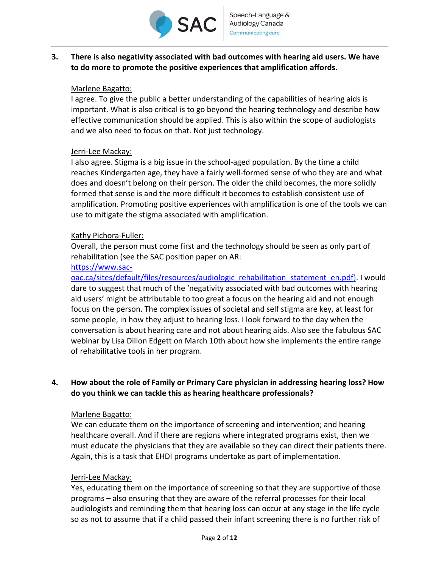

**3. There is also negativity associated with bad outcomes with hearing aid users. We have to do more to promote the positive experiences that amplification affords.** 

## Marlene Bagatto:

I agree. To give the public a better understanding of the capabilities of hearing aids is important. What is also critical is to go beyond the hearing technology and describe how effective communication should be applied. This is also within the scope of audiologists and we also need to focus on that. Not just technology.

## Jerri‐Lee Mackay:

I also agree. Stigma is a big issue in the school‐aged population. By the time a child reaches Kindergarten age, they have a fairly well‐formed sense of who they are and what does and doesn't belong on their person. The older the child becomes, the more solidly formed that sense is and the more difficult it becomes to establish consistent use of amplification. Promoting positive experiences with amplification is one of the tools we can use to mitigate the stigma associated with amplification.

## Kathy Pichora-Fuller:

Overall, the person must come first and the technology should be seen as only part of rehabilitation (see the SAC position paper on AR:

## https://www.sac‐

oac.ca/sites/default/files/resources/audiologic\_rehabilitation\_statement\_en.pdf). I would dare to suggest that much of the 'negativity associated with bad outcomes with hearing aid users' might be attributable to too great a focus on the hearing aid and not enough focus on the person. The complex issues of societal and self stigma are key, at least for some people, in how they adjust to hearing loss. I look forward to the day when the conversation is about hearing care and not about hearing aids. Also see the fabulous SAC webinar by Lisa Dillon Edgett on March 10th about how she implements the entire range of rehabilitative tools in her program.

# **4. How about the role of Family or Primary Care physician in addressing hearing loss? How do you think we can tackle this as hearing healthcare professionals?**

## Marlene Bagatto:

We can educate them on the importance of screening and intervention; and hearing healthcare overall. And if there are regions where integrated programs exist, then we must educate the physicians that they are available so they can direct their patients there. Again, this is a task that EHDI programs undertake as part of implementation.

## Jerri‐Lee Mackay:

Yes, educating them on the importance of screening so that they are supportive of those programs – also ensuring that they are aware of the referral processes for their local audiologists and reminding them that hearing loss can occur at any stage in the life cycle so as not to assume that if a child passed their infant screening there is no further risk of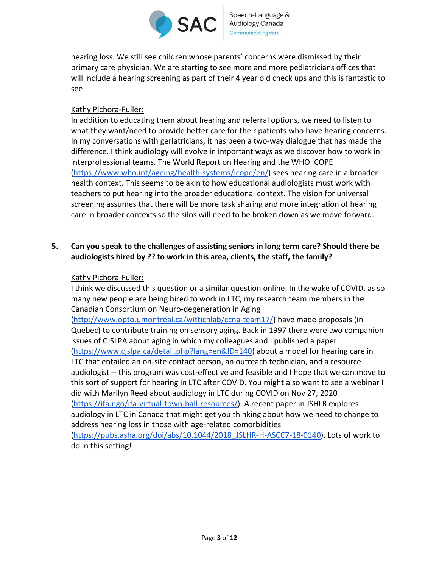

hearing loss. We still see children whose parents' concerns were dismissed by their primary care physician. We are starting to see more and more pediatricians offices that will include a hearing screening as part of their 4 year old check ups and this is fantastic to see.

# Kathy Pichora‐Fuller:

In addition to educating them about hearing and referral options, we need to listen to what they want/need to provide better care for their patients who have hearing concerns. In my conversations with geriatricians, it has been a two-way dialogue that has made the difference. I think audiology will evolve in important ways as we discover how to work in interprofessional teams. The World Report on Hearing and the WHO ICOPE (https://www.who.int/ageing/health‐systems/icope/en/) sees hearing care in a broader health context. This seems to be akin to how educational audiologists must work with teachers to put hearing into the broader educational context. The vision for universal screening assumes that there will be more task sharing and more integration of hearing care in broader contexts so the silos will need to be broken down as we move forward.

# **5. Can you speak to the challenges of assisting seniors in long term care? Should there be audiologists hired by ?? to work in this area, clients, the staff, the family?**

# Kathy Pichora‐Fuller:

I think we discussed this question or a similar question online. In the wake of COVID, as so many new people are being hired to work in LTC, my research team members in the Canadian Consortium on Neuro‐degeneration in Aging (http://www.opto.umontreal.ca/wittichlab/ccna‐team17/) have made proposals (in Quebec) to contribute training on sensory aging. Back in 1997 there were two companion issues of CJSLPA about aging in which my colleagues and I published a paper (https://www.cjslpa.ca/detail.php?lang=en&ID=140) about a model for hearing care in LTC that entailed an on‐site contact person, an outreach technician, and a resource audiologist -- this program was cost-effective and feasible and I hope that we can move to this sort of support for hearing in LTC after COVID. You might also want to see a webinar I did with Marilyn Reed about audiology in LTC during COVID on Nov 27, 2020 (https://ifa.ngo/ifa‐virtual‐town‐hall‐resources/). A recent paper in JSHLR explores audiology in LTC in Canada that might get you thinking about how we need to change to address hearing loss in those with age‐related comorbidities

(https://pubs.asha.org/doi/abs/10.1044/2018\_JSLHR‐H‐ASCC7‐18‐0140). Lots of work to do in this setting!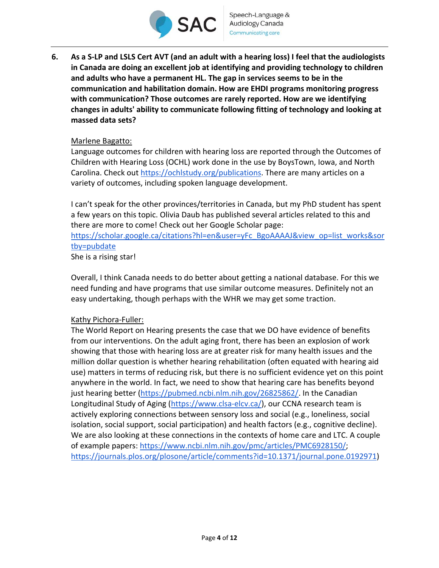

**6. As a S‐LP and LSLS Cert AVT (and an adult with a hearing loss) I feel that the audiologists in Canada are doing an excellent job at identifying and providing technology to children and adults who have a permanent HL. The gap in services seems to be in the communication and habilitation domain. How are EHDI programs monitoring progress with communication? Those outcomes are rarely reported. How are we identifying changes in adults' ability to communicate following fitting of technology and looking at massed data sets?** 

## Marlene Bagatto:

Language outcomes for children with hearing loss are reported through the Outcomes of Children with Hearing Loss (OCHL) work done in the use by BoysTown, Iowa, and North Carolina. Check out https://ochlstudy.org/publications. There are many articles on a variety of outcomes, including spoken language development.

I can't speak for the other provinces/territories in Canada, but my PhD student has spent a few years on this topic. Olivia Daub has published several articles related to this and there are more to come! Check out her Google Scholar page: https://scholar.google.ca/citations?hl=en&user=yFc\_BgoAAAAJ&view\_op=list\_works&sor tby=pubdate She is a rising star!

Overall, I think Canada needs to do better about getting a national database. For this we need funding and have programs that use similar outcome measures. Definitely not an easy undertaking, though perhaps with the WHR we may get some traction.

## Kathy Pichora‐Fuller:

The World Report on Hearing presents the case that we DO have evidence of benefits from our interventions. On the adult aging front, there has been an explosion of work showing that those with hearing loss are at greater risk for many health issues and the million dollar question is whether hearing rehabilitation (often equated with hearing aid use) matters in terms of reducing risk, but there is no sufficient evidence yet on this point anywhere in the world. In fact, we need to show that hearing care has benefits beyond just hearing better (https://pubmed.ncbi.nlm.nih.gov/26825862/. In the Canadian Longitudinal Study of Aging (https://www.clsa‐elcv.ca/), our CCNA research team is actively exploring connections between sensory loss and social (e.g., loneliness, social isolation, social support, social participation) and health factors (e.g., cognitive decline). We are also looking at these connections in the contexts of home care and LTC. A couple of example papers: https://www.ncbi.nlm.nih.gov/pmc/articles/PMC6928150/; https://journals.plos.org/plosone/article/comments?id=10.1371/journal.pone.0192971)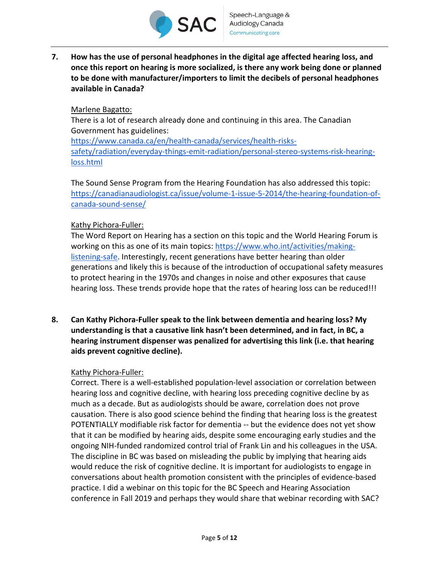

**7. How has the use of personal headphones in the digital age affected hearing loss, and once this report on hearing is more socialized, is there any work being done or planned to be done with manufacturer/importers to limit the decibels of personal headphones available in Canada?** 

## Marlene Bagatto:

There is a lot of research already done and continuing in this area. The Canadian Government has guidelines: https://www.canada.ca/en/health‐canada/services/health‐risks‐ safety/radiation/everyday‐things‐emit‐radiation/personal‐stereo‐systems‐risk‐hearing‐ loss.html

The Sound Sense Program from the Hearing Foundation has also addressed this topic: https://canadianaudiologist.ca/issue/volume‐1‐issue‐5‐2014/the‐hearing‐foundation‐of‐ canada‐sound‐sense/

## Kathy Pichora‐Fuller:

The Word Report on Hearing has a section on this topic and the World Hearing Forum is working on this as one of its main topics: https://www.who.int/activities/makinglistening-safe. Interestingly, recent generations have better hearing than older generations and likely this is because of the introduction of occupational safety measures to protect hearing in the 1970s and changes in noise and other exposures that cause hearing loss. These trends provide hope that the rates of hearing loss can be reduced!!!

**8. Can Kathy Pichora‐Fuller speak to the link between dementia and hearing loss? My understanding is that a causative link hasn't been determined, and in fact, in BC, a hearing instrument dispenser was penalized for advertising this link (i.e. that hearing aids prevent cognitive decline).** 

# Kathy Pichora‐Fuller:

Correct. There is a well‐established population‐level association or correlation between hearing loss and cognitive decline, with hearing loss preceding cognitive decline by as much as a decade. But as audiologists should be aware, correlation does not prove causation. There is also good science behind the finding that hearing loss is the greatest POTENTIALLY modifiable risk factor for dementia ‐‐ but the evidence does not yet show that it can be modified by hearing aids, despite some encouraging early studies and the ongoing NIH‐funded randomized control trial of Frank Lin and his colleagues in the USA. The discipline in BC was based on misleading the public by implying that hearing aids would reduce the risk of cognitive decline. It is important for audiologists to engage in conversations about health promotion consistent with the principles of evidence‐based practice. I did a webinar on this topic for the BC Speech and Hearing Association conference in Fall 2019 and perhaps they would share that webinar recording with SAC?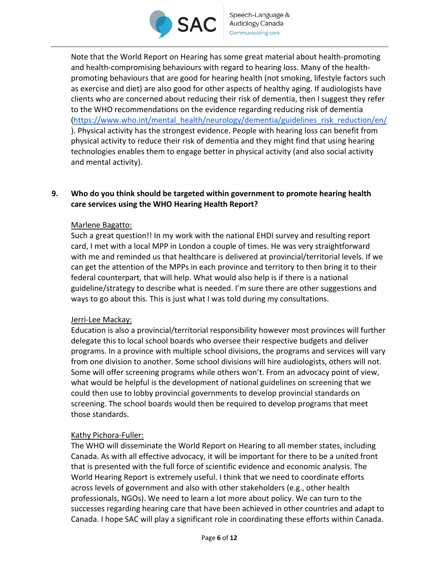

Note that the World Report on Hearing has some great material about health‐promoting and health-compromising behaviours with regard to hearing loss. Many of the healthpromoting behaviours that are good for hearing health (not smoking, lifestyle factors such as exercise and diet) are also good for other aspects of healthy aging. If audiologists have clients who are concerned about reducing their risk of dementia, then I suggest they refer to the WHO recommendations on the evidence regarding reducing risk of dementia (https://www.who.int/mental\_health/neurology/dementia/guidelines\_risk\_reduction/en/ ). Physical activity has the strongest evidence. People with hearing loss can benefit from physical activity to reduce their risk of dementia and they might find that using hearing technologies enables them to engage better in physical activity (and also social activity and mental activity).

# **9. Who do you think should be targeted within government to promote hearing health care services using the WHO Hearing Health Report?**

## Marlene Bagatto:

Such a great question!! In my work with the national EHDI survey and resulting report card, I met with a local MPP in London a couple of times. He was very straightforward with me and reminded us that healthcare is delivered at provincial/territorial levels. If we can get the attention of the MPPs in each province and territory to then bring it to their federal counterpart, that will help. What would also help is if there is a national guideline/strategy to describe what is needed. I'm sure there are other suggestions and ways to go about this. This is just what I was told during my consultations.

## Jerri‐Lee Mackay:

Education is also a provincial/territorial responsibility however most provinces will further delegate this to local school boards who oversee their respective budgets and deliver programs. In a province with multiple school divisions, the programs and services will vary from one division to another. Some school divisions will hire audiologists, others will not. Some will offer screening programs while others won't. From an advocacy point of view, what would be helpful is the development of national guidelines on screening that we could then use to lobby provincial governments to develop provincial standards on screening. The school boards would then be required to develop programs that meet those standards.

# Kathy Pichora‐Fuller:

The WHO will disseminate the World Report on Hearing to all member states, including Canada. As with all effective advocacy, it will be important for there to be a united front that is presented with the full force of scientific evidence and economic analysis. The World Hearing Report is extremely useful. I think that we need to coordinate efforts across levels of government and also with other stakeholders (e.g., other health professionals, NGOs). We need to learn a lot more about policy. We can turn to the successes regarding hearing care that have been achieved in other countries and adapt to Canada. I hope SAC will play a significant role in coordinating these efforts within Canada.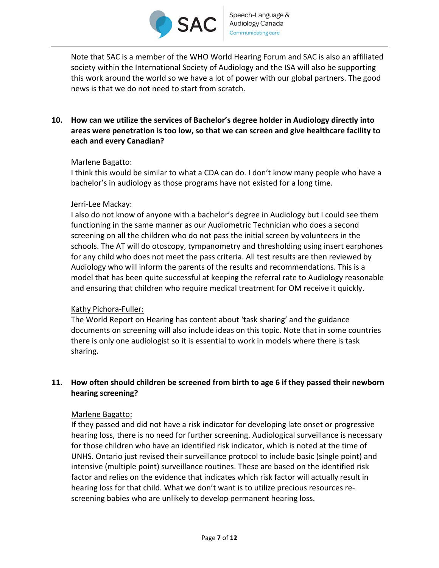

Note that SAC is a member of the WHO World Hearing Forum and SAC is also an affiliated society within the International Society of Audiology and the ISA will also be supporting this work around the world so we have a lot of power with our global partners. The good news is that we do not need to start from scratch.

# **10. How can we utilize the services of Bachelor's degree holder in Audiology directly into areas were penetration is too low, so that we can screen and give healthcare facility to each and every Canadian?**

## Marlene Bagatto:

I think this would be similar to what a CDA can do. I don't know many people who have a bachelor's in audiology as those programs have not existed for a long time.

## Jerri‐Lee Mackay:

I also do not know of anyone with a bachelor's degree in Audiology but I could see them functioning in the same manner as our Audiometric Technician who does a second screening on all the children who do not pass the initial screen by volunteers in the schools. The AT will do otoscopy, tympanometry and thresholding using insert earphones for any child who does not meet the pass criteria. All test results are then reviewed by Audiology who will inform the parents of the results and recommendations. This is a model that has been quite successful at keeping the referral rate to Audiology reasonable and ensuring that children who require medical treatment for OM receive it quickly.

# Kathy Pichora‐Fuller:

The World Report on Hearing has content about 'task sharing' and the guidance documents on screening will also include ideas on this topic. Note that in some countries there is only one audiologist so it is essential to work in models where there is task sharing.

# **11. How often should children be screened from birth to age 6 if they passed their newborn hearing screening?**

## Marlene Bagatto:

If they passed and did not have a risk indicator for developing late onset or progressive hearing loss, there is no need for further screening. Audiological surveillance is necessary for those children who have an identified risk indicator, which is noted at the time of UNHS. Ontario just revised their surveillance protocol to include basic (single point) and intensive (multiple point) surveillance routines. These are based on the identified risk factor and relies on the evidence that indicates which risk factor will actually result in hearing loss for that child. What we don't want is to utilize precious resources re‐ screening babies who are unlikely to develop permanent hearing loss.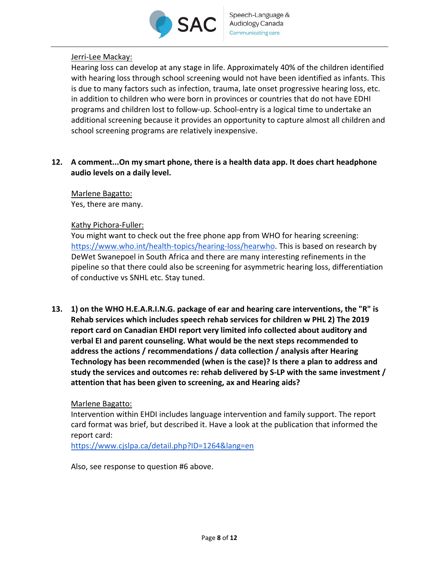

# Jerri‐Lee Mackay:

Hearing loss can develop at any stage in life. Approximately 40% of the children identified with hearing loss through school screening would not have been identified as infants. This is due to many factors such as infection, trauma, late onset progressive hearing loss, etc. in addition to children who were born in provinces or countries that do not have EDHI programs and children lost to follow‐up. School‐entry is a logical time to undertake an additional screening because it provides an opportunity to capture almost all children and school screening programs are relatively inexpensive.

**12. A comment...On my smart phone, there is a health data app. It does chart headphone audio levels on a daily level.** 

Marlene Bagatto:

Yes, there are many.

## Kathy Pichora‐Fuller:

You might want to check out the free phone app from WHO for hearing screening: https://www.who.int/health‐topics/hearing‐loss/hearwho. This is based on research by DeWet Swanepoel in South Africa and there are many interesting refinements in the pipeline so that there could also be screening for asymmetric hearing loss, differentiation of conductive vs SNHL etc. Stay tuned.

**13. 1) on the WHO H.E.A.R.I.N.G. package of ear and hearing care interventions, the "R" is Rehab services which includes speech rehab services for children w PHL 2) The 2019 report card on Canadian EHDI report very limited info collected about auditory and verbal EI and parent counseling. What would be the next steps recommended to address the actions / recommendations / data collection / analysis after Hearing Technology has been recommended (when is the case)? Is there a plan to address and study the services and outcomes re: rehab delivered by S‐LP with the same investment / attention that has been given to screening, ax and Hearing aids?** 

## Marlene Bagatto:

Intervention within EHDI includes language intervention and family support. The report card format was brief, but described it. Have a look at the publication that informed the report card:

https://www.cjslpa.ca/detail.php?ID=1264&lang=en

Also, see response to question #6 above.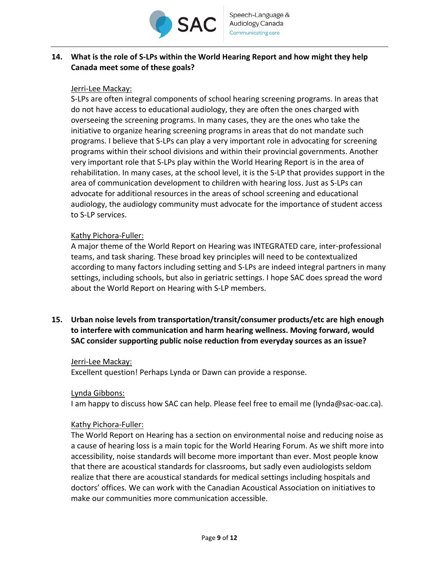

# **14. What is the role of S‐LPs within the World Hearing Report and how might they help Canada meet some of these goals?**

## Jerri‐Lee Mackay:

S‐LPs are often integral components of school hearing screening programs. In areas that do not have access to educational audiology, they are often the ones charged with overseeing the screening programs. In many cases, they are the ones who take the initiative to organize hearing screening programs in areas that do not mandate such programs. I believe that S‐LPs can play a very important role in advocating for screening programs within their school divisions and within their provincial governments. Another very important role that S‐LPs play within the World Hearing Report is in the area of rehabilitation. In many cases, at the school level, it is the S‐LP that provides support in the area of communication development to children with hearing loss. Just as S‐LPs can advocate for additional resources in the areas of school screening and educational audiology, the audiology community must advocate for the importance of student access to S‐LP services.

## Kathy Pichora‐Fuller:

A major theme of the World Report on Hearing was INTEGRATED care, inter‐professional teams, and task sharing. These broad key principles will need to be contextualized according to many factors including setting and S‐LPs are indeed integral partners in many settings, including schools, but also in geriatric settings. I hope SAC does spread the word about the World Report on Hearing with S‐LP members.

**15. Urban noise levels from transportation/transit/consumer products/etc are high enough to interfere with communication and harm hearing wellness. Moving forward, would SAC consider supporting public noise reduction from everyday sources as an issue?** 

## Jerri-Lee Mackay:

Excellent question! Perhaps Lynda or Dawn can provide a response.

## Lynda Gibbons:

I am happy to discuss how SAC can help. Please feel free to email me (lynda@sac-oac.ca).

## Kathy Pichora‐Fuller:

The World Report on Hearing has a section on environmental noise and reducing noise as a cause of hearing loss is a main topic for the World Hearing Forum. As we shift more into accessibility, noise standards will become more important than ever. Most people know that there are acoustical standards for classrooms, but sadly even audiologists seldom realize that there are acoustical standards for medical settings including hospitals and doctors' offices. We can work with the Canadian Acoustical Association on initiatives to make our communities more communication accessible.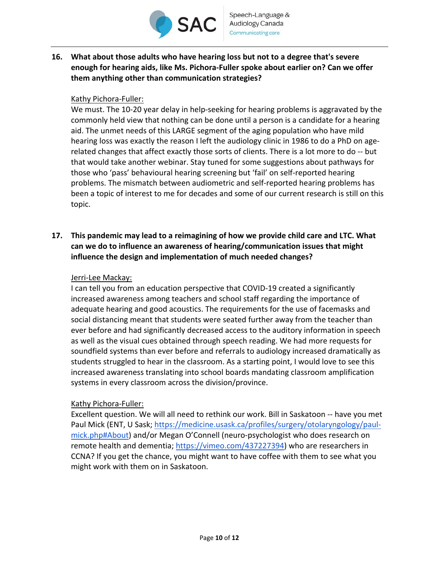

**16. What about those adults who have hearing loss but not to a degree that's severe enough for hearing aids, like Ms. Pichora‐Fuller spoke about earlier on? Can we offer them anything other than communication strategies?** 

## Kathy Pichora‐Fuller:

We must. The 10-20 year delay in help-seeking for hearing problems is aggravated by the commonly held view that nothing can be done until a person is a candidate for a hearing aid. The unmet needs of this LARGE segment of the aging population who have mild hearing loss was exactly the reason I left the audiology clinic in 1986 to do a PhD on age‐ related changes that affect exactly those sorts of clients. There is a lot more to do ‐‐ but that would take another webinar. Stay tuned for some suggestions about pathways for those who 'pass' behavioural hearing screening but 'fail' on self‐reported hearing problems. The mismatch between audiometric and self‐reported hearing problems has been a topic of interest to me for decades and some of our current research is still on this topic.

**17. This pandemic may lead to a reimagining of how we provide child care and LTC. What can we do to influence an awareness of hearing/communication issues that might influence the design and implementation of much needed changes?**

## Jerri‐Lee Mackay:

I can tell you from an education perspective that COVID‐19 created a significantly increased awareness among teachers and school staff regarding the importance of adequate hearing and good acoustics. The requirements for the use of facemasks and social distancing meant that students were seated further away from the teacher than ever before and had significantly decreased access to the auditory information in speech as well as the visual cues obtained through speech reading. We had more requests for soundfield systems than ever before and referrals to audiology increased dramatically as students struggled to hear in the classroom. As a starting point, I would love to see this increased awareness translating into school boards mandating classroom amplification systems in every classroom across the division/province.

## Kathy Pichora‐Fuller:

Excellent question. We will all need to rethink our work. Bill in Saskatoon ‐‐ have you met Paul Mick (ENT, U Sask; https://medicine.usask.ca/profiles/surgery/otolaryngology/paul‐ mick.php#About) and/or Megan O'Connell (neuro‐psychologist who does research on remote health and dementia; https://vimeo.com/437227394) who are researchers in CCNA? If you get the chance, you might want to have coffee with them to see what you might work with them on in Saskatoon.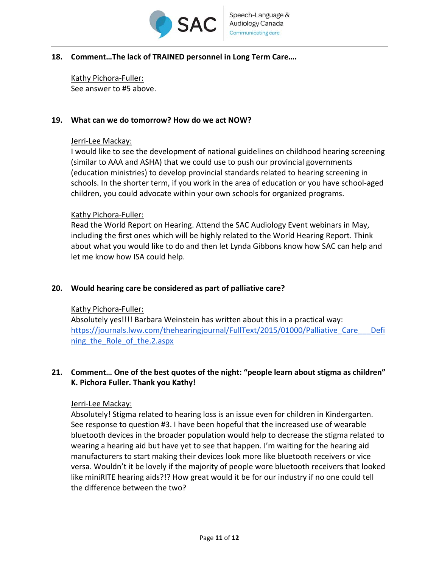

## **18. Comment…The lack of TRAINED personnel in Long Term Care….**

Kathy Pichora‐Fuller: See answer to #5 above.

## **19. What can we do tomorrow? How do we act NOW?**

#### Jerri‐Lee Mackay:

I would like to see the development of national guidelines on childhood hearing screening (similar to AAA and ASHA) that we could use to push our provincial governments (education ministries) to develop provincial standards related to hearing screening in schools. In the shorter term, if you work in the area of education or you have school‐aged children, you could advocate within your own schools for organized programs.

#### Kathy Pichora‐Fuller:

Read the World Report on Hearing. Attend the SAC Audiology Event webinars in May, including the first ones which will be highly related to the World Hearing Report. Think about what you would like to do and then let Lynda Gibbons know how SAC can help and let me know how ISA could help.

## **20. Would hearing care be considered as part of palliative care?**

## Kathy Pichora‐Fuller:

Absolutely yes!!!! Barbara Weinstein has written about this in a practical way: https://journals.lww.com/thehearingjournal/FullText/2015/01000/Palliative\_Care\_\_\_Defi ning the Role of the.2.aspx

# **21. Comment… One of the best quotes of the night: "people learn about stigma as children" K. Pichora Fuller. Thank you Kathy!**

## Jerri‐Lee Mackay:

Absolutely! Stigma related to hearing loss is an issue even for children in Kindergarten. See response to question #3. I have been hopeful that the increased use of wearable bluetooth devices in the broader population would help to decrease the stigma related to wearing a hearing aid but have yet to see that happen. I'm waiting for the hearing aid manufacturers to start making their devices look more like bluetooth receivers or vice versa. Wouldn't it be lovely if the majority of people wore bluetooth receivers that looked like miniRITE hearing aids?!? How great would it be for our industry if no one could tell the difference between the two?